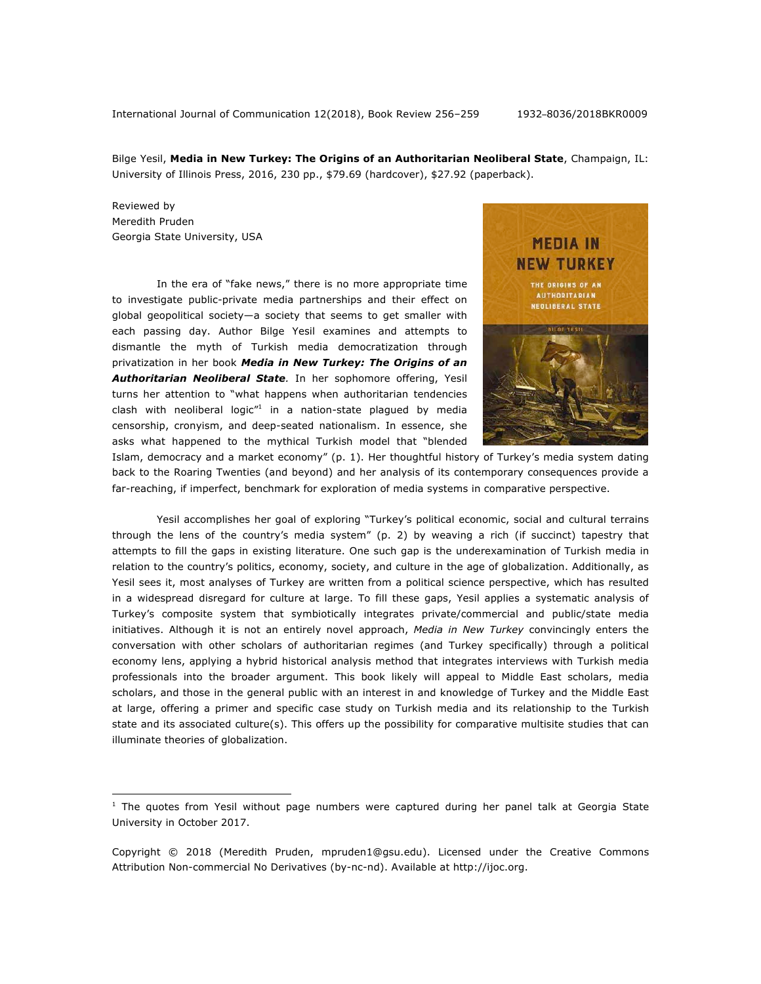International Journal of Communication 12(2018), Book Review 256–259 1932–8036/2018BKR0009

Bilge Yesil, **Media in New Turkey: The Origins of an Authoritarian Neoliberal State**, Champaign, IL: University of Illinois Press, 2016, 230 pp., \$79.69 (hardcover), \$27.92 (paperback).

Reviewed by Meredith Pruden Georgia State University, USA

<u>.</u>

In the era of "fake news," there is no more appropriate time to investigate public-private media partnerships and their effect on global geopolitical society—a society that seems to get smaller with each passing day. Author Bilge Yesil examines and attempts to dismantle the myth of Turkish media democratization through privatization in her book *Media in New Turkey: The Origins of an Authoritarian Neoliberal State.* In her sophomore offering, Yesil turns her attention to "what happens when authoritarian tendencies clash with neoliberal logic $n<sup>1</sup>$  in a nation-state plagued by media censorship, cronyism, and deep-seated nationalism. In essence, she asks what happened to the mythical Turkish model that "blended



Islam, democracy and a market economy" (p. 1). Her thoughtful history of Turkey's media system dating back to the Roaring Twenties (and beyond) and her analysis of its contemporary consequences provide a far-reaching, if imperfect, benchmark for exploration of media systems in comparative perspective.

Yesil accomplishes her goal of exploring "Turkey's political economic, social and cultural terrains through the lens of the country's media system" (p. 2) by weaving a rich (if succinct) tapestry that attempts to fill the gaps in existing literature. One such gap is the underexamination of Turkish media in relation to the country's politics, economy, society, and culture in the age of globalization. Additionally, as Yesil sees it, most analyses of Turkey are written from a political science perspective, which has resulted in a widespread disregard for culture at large. To fill these gaps, Yesil applies a systematic analysis of Turkey's composite system that symbiotically integrates private/commercial and public/state media initiatives. Although it is not an entirely novel approach, *Media in New Turkey* convincingly enters the conversation with other scholars of authoritarian regimes (and Turkey specifically) through a political economy lens, applying a hybrid historical analysis method that integrates interviews with Turkish media professionals into the broader argument. This book likely will appeal to Middle East scholars, media scholars, and those in the general public with an interest in and knowledge of Turkey and the Middle East at large, offering a primer and specific case study on Turkish media and its relationship to the Turkish state and its associated culture(s). This offers up the possibility for comparative multisite studies that can illuminate theories of globalization.

 $1$  The quotes from Yesil without page numbers were captured during her panel talk at Georgia State University in October 2017.

Copyright © 2018 (Meredith Pruden, mpruden1@gsu.edu). Licensed under the Creative Commons Attribution Non-commercial No Derivatives (by-nc-nd). Available at http://ijoc.org.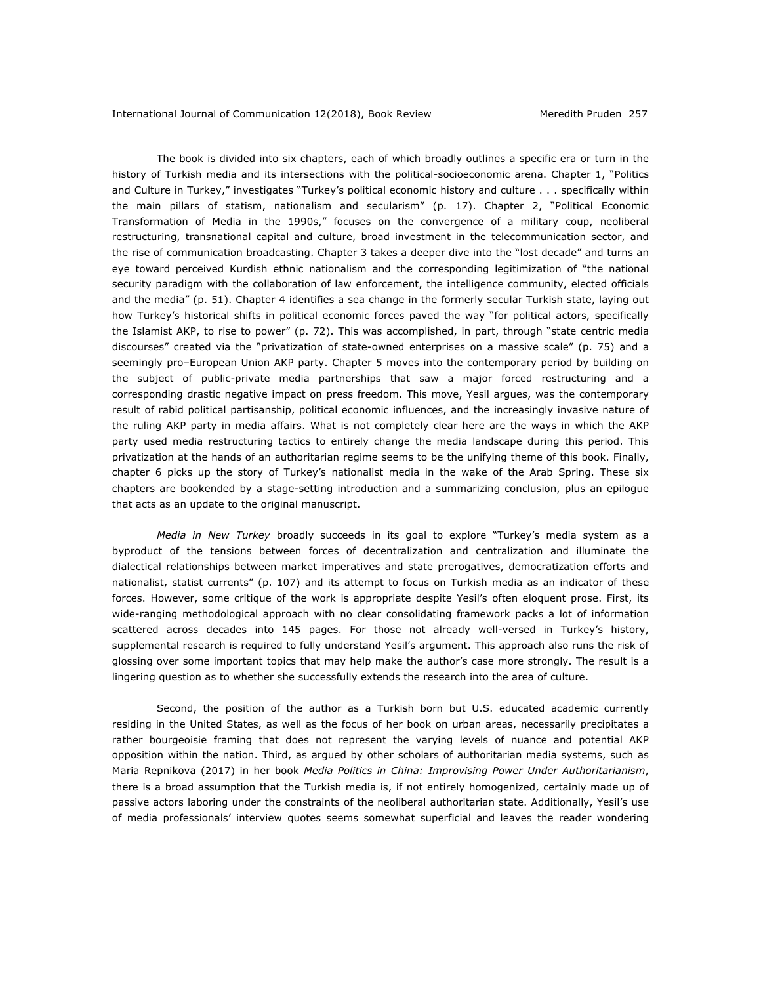The book is divided into six chapters, each of which broadly outlines a specific era or turn in the history of Turkish media and its intersections with the political-socioeconomic arena. Chapter 1, "Politics and Culture in Turkey," investigates "Turkey's political economic history and culture . . . specifically within the main pillars of statism, nationalism and secularism" (p. 17). Chapter 2, "Political Economic Transformation of Media in the 1990s," focuses on the convergence of a military coup, neoliberal restructuring, transnational capital and culture, broad investment in the telecommunication sector, and the rise of communication broadcasting. Chapter 3 takes a deeper dive into the "lost decade" and turns an eye toward perceived Kurdish ethnic nationalism and the corresponding legitimization of "the national security paradigm with the collaboration of law enforcement, the intelligence community, elected officials and the media" (p. 51). Chapter 4 identifies a sea change in the formerly secular Turkish state, laying out how Turkey's historical shifts in political economic forces paved the way "for political actors, specifically the Islamist AKP, to rise to power" (p. 72). This was accomplished, in part, through "state centric media discourses" created via the "privatization of state-owned enterprises on a massive scale" (p. 75) and a seemingly pro–European Union AKP party. Chapter 5 moves into the contemporary period by building on the subject of public-private media partnerships that saw a major forced restructuring and a corresponding drastic negative impact on press freedom. This move, Yesil argues, was the contemporary result of rabid political partisanship, political economic influences, and the increasingly invasive nature of the ruling AKP party in media affairs. What is not completely clear here are the ways in which the AKP party used media restructuring tactics to entirely change the media landscape during this period. This privatization at the hands of an authoritarian regime seems to be the unifying theme of this book. Finally, chapter 6 picks up the story of Turkey's nationalist media in the wake of the Arab Spring. These six chapters are bookended by a stage-setting introduction and a summarizing conclusion, plus an epilogue that acts as an update to the original manuscript.

*Media in New Turkey* broadly succeeds in its goal to explore "Turkey's media system as a byproduct of the tensions between forces of decentralization and centralization and illuminate the dialectical relationships between market imperatives and state prerogatives, democratization efforts and nationalist, statist currents" (p. 107) and its attempt to focus on Turkish media as an indicator of these forces. However, some critique of the work is appropriate despite Yesil's often eloquent prose. First, its wide-ranging methodological approach with no clear consolidating framework packs a lot of information scattered across decades into 145 pages. For those not already well-versed in Turkey's history, supplemental research is required to fully understand Yesil's argument. This approach also runs the risk of glossing over some important topics that may help make the author's case more strongly. The result is a lingering question as to whether she successfully extends the research into the area of culture.

Second, the position of the author as a Turkish born but U.S. educated academic currently residing in the United States, as well as the focus of her book on urban areas, necessarily precipitates a rather bourgeoisie framing that does not represent the varying levels of nuance and potential AKP opposition within the nation. Third, as argued by other scholars of authoritarian media systems, such as Maria Repnikova (2017) in her book *Media Politics in China: Improvising Power Under Authoritarianism*, there is a broad assumption that the Turkish media is, if not entirely homogenized, certainly made up of passive actors laboring under the constraints of the neoliberal authoritarian state. Additionally, Yesil's use of media professionals' interview quotes seems somewhat superficial and leaves the reader wondering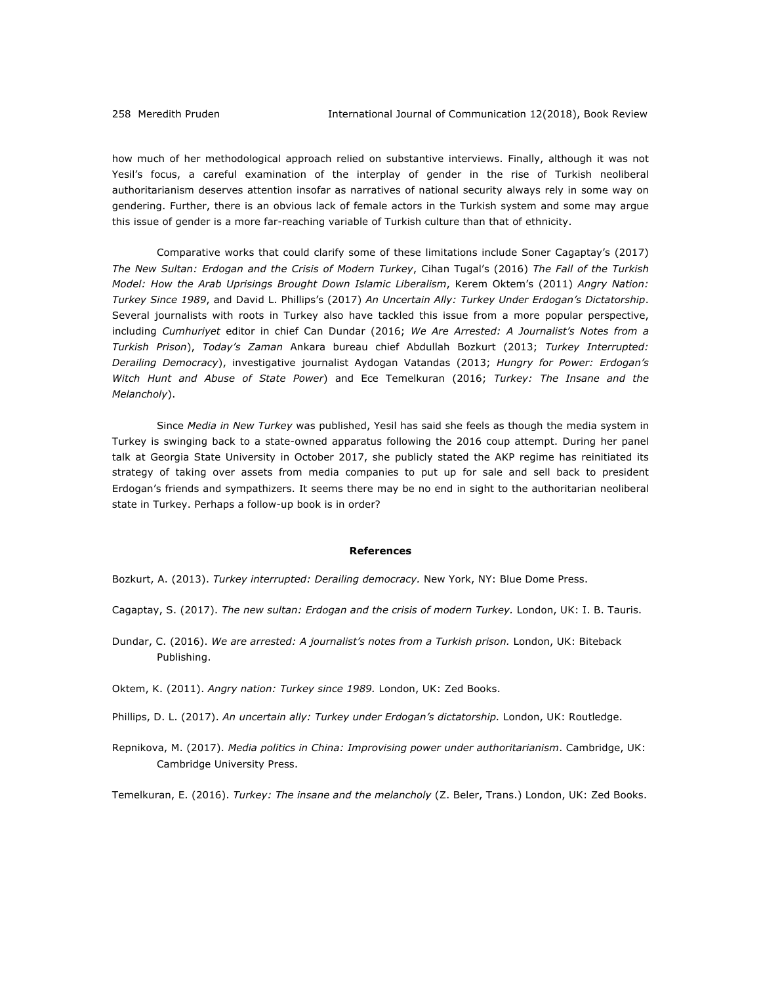how much of her methodological approach relied on substantive interviews. Finally, although it was not Yesil's focus, a careful examination of the interplay of gender in the rise of Turkish neoliberal authoritarianism deserves attention insofar as narratives of national security always rely in some way on gendering. Further, there is an obvious lack of female actors in the Turkish system and some may argue this issue of gender is a more far-reaching variable of Turkish culture than that of ethnicity.

Comparative works that could clarify some of these limitations include Soner Cagaptay's (2017) *The New Sultan: Erdogan and the Crisis of Modern Turkey*, Cihan Tugal's (2016) *The Fall of the Turkish Model: How the Arab Uprisings Brought Down Islamic Liberalism*, Kerem Oktem's (2011) *Angry Nation: Turkey Since 1989*, and David L. Phillips's (2017) *An Uncertain Ally: Turkey Under Erdogan's Dictatorship*. Several journalists with roots in Turkey also have tackled this issue from a more popular perspective, including *Cumhuriyet* editor in chief Can Dundar (2016; *We Are Arrested: A Journalist's Notes from a Turkish Prison*), *Today's Zaman* Ankara bureau chief Abdullah Bozkurt (2013; *Turkey Interrupted: Derailing Democracy*), investigative journalist Aydogan Vatandas (2013; *Hungry for Power: Erdogan's Witch Hunt and Abuse of State Power*) and Ece Temelkuran (2016; *Turkey: The Insane and the Melancholy*).

Since *Media in New Turkey* was published, Yesil has said she feels as though the media system in Turkey is swinging back to a state-owned apparatus following the 2016 coup attempt. During her panel talk at Georgia State University in October 2017, she publicly stated the AKP regime has reinitiated its strategy of taking over assets from media companies to put up for sale and sell back to president Erdogan's friends and sympathizers. It seems there may be no end in sight to the authoritarian neoliberal state in Turkey. Perhaps a follow-up book is in order?

## **References**

Bozkurt, A. (2013). *Turkey interrupted: Derailing democracy.* New York, NY: Blue Dome Press.

- Cagaptay, S. (2017). *The new sultan: Erdogan and the crisis of modern Turkey.* London, UK: I. B. Tauris.
- Dundar, C. (2016). We are arrested: A journalist's notes from a Turkish prison. London, UK: Biteback Publishing.
- Oktem, K. (2011). *Angry nation: Turkey since 1989.* London, UK: Zed Books.
- Phillips, D. L. (2017). An uncertain ally: Turkey under Erdogan's dictatorship. London, UK: Routledge.
- Repnikova, M. (2017). *Media politics in China: Improvising power under authoritarianism*. Cambridge, UK: Cambridge University Press.

Temelkuran, E. (2016). *Turkey: The insane and the melancholy* (Z. Beler, Trans.) London, UK: Zed Books.